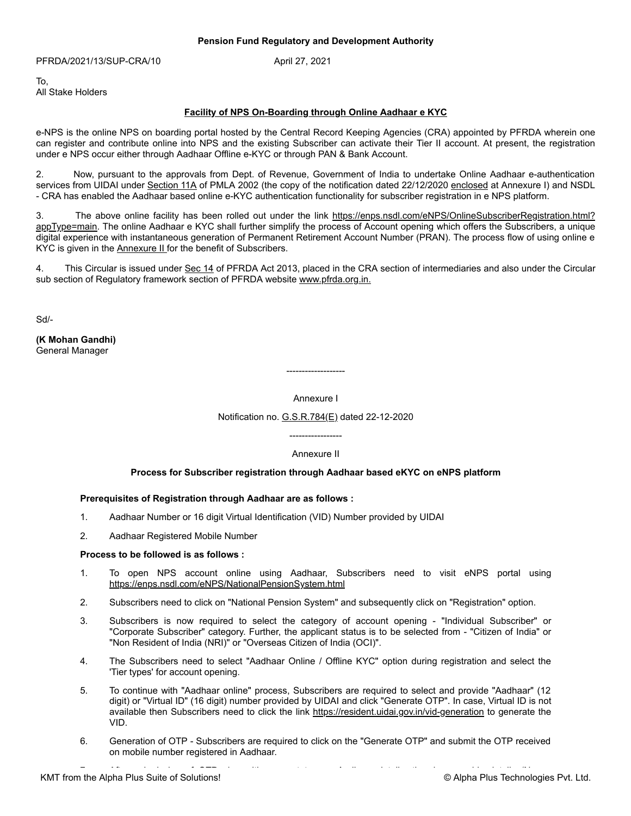PFRDA/2021/13/SUP-CRA/10 April 27, 2021

To, All Stake Holders

## **Facility of NPS On-Boarding through Online Aadhaar e KYC**

e-NPS is the online NPS on boarding portal hosted by the Central Record Keeping Agencies (CRA) appointed by PFRDA wherein one can register and contribute online into NPS and the existing Subscriber can activate their Tier II account. At present, the registration under e NPS occur either through Aadhaar Offline e-KYC or through PAN & Bank Account.

2. Now, pursuant to the approvals from Dept. of Revenue, Government of India to undertake Online Aadhaar e-authentication services from UIDAI under [Section 11A](http://compliance/kmtnet/GetDocument.aspx?PageRef=statutes/moneylaund_amd_c03.htm#s11a) of PMLA 2002 (the copy of the notification dated 22/12/2020 [enclosed](http://compliance/kmtnet/GetDocument.aspx?PageRef=regulator/pfrda/pfrda/pfrda1027-04-2021.htm#ann1) at Annexure I) and NSDL - CRA has enabled the Aadhaar based online e-KYC authentication functionality for subscriber registration in e NPS platform.

3. The above online facility has been rolled out under the link https://enps.nsdl.com/eNPS/OnlineSubscriberRegistration.html? [appType=main. The online Aadhaar e KYC shall further simplify the process of Account opening which offers the Subscribers, a unique](https://enps.nsdl.com/eNPS/OnlineSubscriberRegistration.html?appType=main) digital experience with instantaneous generation of Permanent Retirement Account Number (PRAN). The process flow of using online e KYC is given in the **Annexure II** for the benefit of Subscribers.

4. This Circular is issued under [Sec 14](http://compliance/kmtnet/GetDocument.aspx?PageRef=pfrda/pfrdact13_19-12-2019.htm#14) of PFRDA Act 2013, placed in the CRA section of intermediaries and also under the Circular sub section of Regulatory framework section of PFRDA website [www.pfrda.org.in.](http://www.pfrda.org.in/)

Sd/-

**(K Mohan Gandhi)** General Manager

Annexure I

-------------------

Notification no. [G.S.R.784\(E\)](http://compliance/kmtnet/GetDocument.aspx?PageRef=gazette/gsr78422-12-2020.htm) dated 22-12-2020

-----------------

## Annexure II

# **Process for Subscriber registration through Aadhaar based eKYC on eNPS platform**

## **Prerequisites of Registration through Aadhaar are as follows :**

- 1. Aadhaar Number or 16 digit Virtual Identification (VID) Number provided by UIDAI
- 2. Aadhaar Registered Mobile Number

## **Process to be followed is as follows :**

- 1. To open NPS account online using Aadhaar, Subscribers need to visit eNPS portal using [https://enps.nsdl.com/eNPS/NationalPensionSystem.html](https://tinyurl.com/3zhnkv63)
- 2. Subscribers need to click on "National Pension System" and subsequently click on "Registration" option.
- 3. Subscribers is now required to select the category of account opening "Individual Subscriber" or "Corporate Subscriber" category. Further, the applicant status is to be selected from - "Citizen of India" or "Non Resident of India (NRI)" or "Overseas Citizen of India (OCI)".
- 4. The Subscribers need to select "Aadhaar Online / Offline KYC" option during registration and select the 'Tier types' for account opening.
- 5. To continue with "Aadhaar online" process, Subscribers are required to select and provide "Aadhaar" (12 digit) or "Virtual ID" (16 digit) number provided by UIDAI and click "Generate OTP". In case, Virtual ID is not available then Subscribers need to click the link <https://resident.uidai.gov.in/vid-generation> to generate the VID.
- 6. Generation of OTP Subscribers are required to click on the "Generate OTP" and submit the OTP received on mobile number registered in Aadhaar.